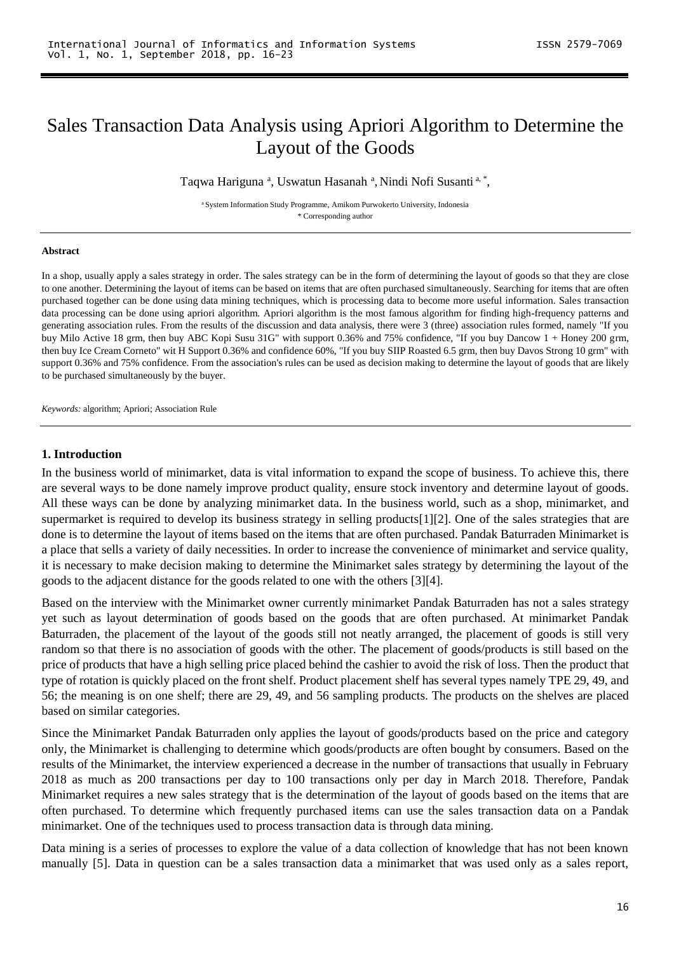# Sales Transaction Data Analysis using Apriori Algorithm to Determine the Layout of the Goods

Taqwa Hariguna <sup>a</sup>, Uswatun Hasanah <sup>a</sup>, Nindi Nofi Susanti <sup>a, \*</sup>,

<sup>a</sup> System Information Study Programme, Amikom Purwokerto University, Indonesia \* Corresponding author

#### **Abstract**

In a shop, usually apply a sales strategy in order. The sales strategy can be in the form of determining the layout of goods so that they are close to one another. Determining the layout of items can be based on items that are often purchased simultaneously. Searching for items that are often purchased together can be done using data mining techniques, which is processing data to become more useful information. Sales transaction data processing can be done using apriori algorithm. Apriori algorithm is the most famous algorithm for finding high-frequency patterns and generating association rules. From the results of the discussion and data analysis, there were 3 (three) association rules formed, namely "If you buy Milo Active 18 grm, then buy ABC Kopi Susu 31G" with support 0.36% and 75% confidence, "If you buy Dancow 1 + Honey 200 grm, then buy Ice Cream Corneto" wit H Support 0.36% and confidence 60%, "If you buy SIIP Roasted 6.5 grm, then buy Davos Strong 10 grm" with support 0.36% and 75% confidence. From the association's rules can be used as decision making to determine the layout of goods that are likely to be purchased simultaneously by the buyer.

*Keywords:* algorithm; Apriori; Association Rule

#### **1. Introduction**

In the business world of minimarket, data is vital information to expand the scope of business. To achieve this, there are several ways to be done namely improve product quality, ensure stock inventory and determine layout of goods. All these ways can be done by analyzing minimarket data. In the business world, such as a shop, minimarket, and supermarket is required to develop its business strategy in selling products[1][2]. One of the sales strategies that are done is to determine the layout of items based on the items that are often purchased. Pandak Baturraden Minimarket is a place that sells a variety of daily necessities. In order to increase the convenience of minimarket and service quality, it is necessary to make decision making to determine the Minimarket sales strategy by determining the layout of the goods to the adjacent distance for the goods related to one with the others [3][4].

Based on the interview with the Minimarket owner currently minimarket Pandak Baturraden has not a sales strategy yet such as layout determination of goods based on the goods that are often purchased. At minimarket Pandak Baturraden, the placement of the layout of the goods still not neatly arranged, the placement of goods is still very random so that there is no association of goods with the other. The placement of goods/products is still based on the price of products that have a high selling price placed behind the cashier to avoid the risk of loss. Then the product that type of rotation is quickly placed on the front shelf. Product placement shelf has several types namely TPE 29, 49, and 56; the meaning is on one shelf; there are 29, 49, and 56 sampling products. The products on the shelves are placed based on similar categories.

Since the Minimarket Pandak Baturraden only applies the layout of goods/products based on the price and category only, the Minimarket is challenging to determine which goods/products are often bought by consumers. Based on the results of the Minimarket, the interview experienced a decrease in the number of transactions that usually in February 2018 as much as 200 transactions per day to 100 transactions only per day in March 2018. Therefore, Pandak Minimarket requires a new sales strategy that is the determination of the layout of goods based on the items that are often purchased. To determine which frequently purchased items can use the sales transaction data on a Pandak minimarket. One of the techniques used to process transaction data is through data mining.

Data mining is a series of processes to explore the value of a data collection of knowledge that has not been known manually [5]. Data in question can be a sales transaction data a minimarket that was used only as a sales report,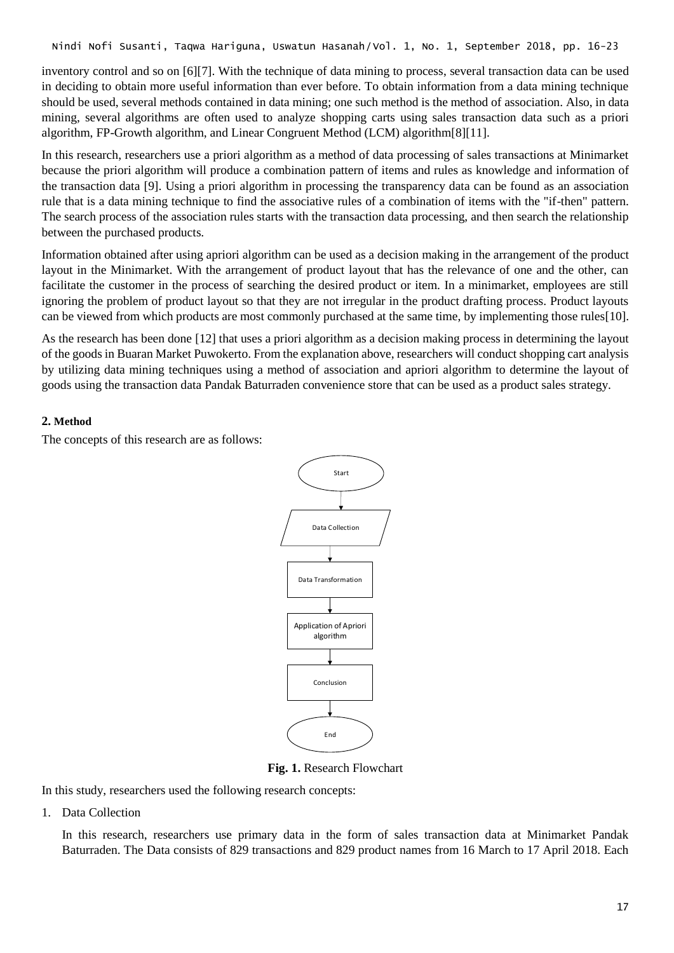inventory control and so on [6][7]. With the technique of data mining to process, several transaction data can be used in deciding to obtain more useful information than ever before. To obtain information from a data mining technique should be used, several methods contained in data mining; one such method is the method of association. Also, in data mining, several algorithms are often used to analyze shopping carts using sales transaction data such as a priori algorithm, FP-Growth algorithm, and Linear Congruent Method (LCM) algorithm[8][11].

In this research, researchers use a priori algorithm as a method of data processing of sales transactions at Minimarket because the priori algorithm will produce a combination pattern of items and rules as knowledge and information of the transaction data [9]. Using a priori algorithm in processing the transparency data can be found as an association rule that is a data mining technique to find the associative rules of a combination of items with the "if-then" pattern. The search process of the association rules starts with the transaction data processing, and then search the relationship between the purchased products.

Information obtained after using apriori algorithm can be used as a decision making in the arrangement of the product layout in the Minimarket. With the arrangement of product layout that has the relevance of one and the other, can facilitate the customer in the process of searching the desired product or item. In a minimarket, employees are still ignoring the problem of product layout so that they are not irregular in the product drafting process. Product layouts can be viewed from which products are most commonly purchased at the same time, by implementing those rules[10].

As the research has been done [12] that uses a priori algorithm as a decision making process in determining the layout of the goods in Buaran Market Puwokerto. From the explanation above, researchers will conduct shopping cart analysis by utilizing data mining techniques using a method of association and apriori algorithm to determine the layout of goods using the transaction data Pandak Baturraden convenience store that can be used as a product sales strategy.

### **2. Method**

The concepts of this research are as follows:



**Fig. 1.** Research Flowchart

In this study, researchers used the following research concepts:

1. Data Collection

In this research, researchers use primary data in the form of sales transaction data at Minimarket Pandak Baturraden. The Data consists of 829 transactions and 829 product names from 16 March to 17 April 2018. Each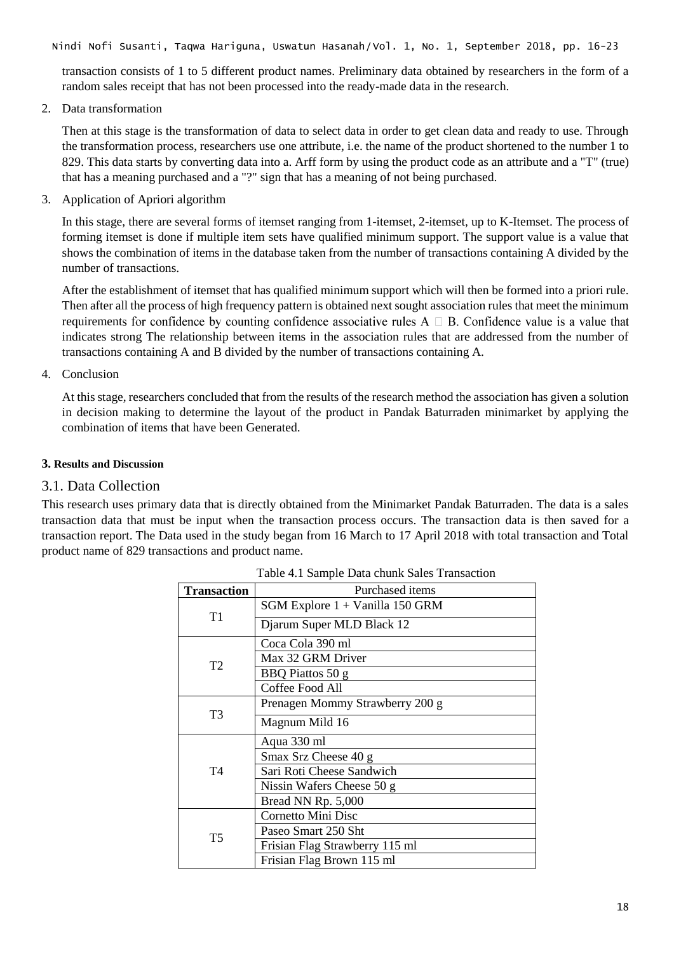transaction consists of 1 to 5 different product names. Preliminary data obtained by researchers in the form of a random sales receipt that has not been processed into the ready-made data in the research.

2. Data transformation

Then at this stage is the transformation of data to select data in order to get clean data and ready to use. Through the transformation process, researchers use one attribute, i.e. the name of the product shortened to the number 1 to 829. This data starts by converting data into a. Arff form by using the product code as an attribute and a "T" (true) that has a meaning purchased and a "?" sign that has a meaning of not being purchased.

3. Application of Apriori algorithm

In this stage, there are several forms of itemset ranging from 1-itemset, 2-itemset, up to K-Itemset. The process of forming itemset is done if multiple item sets have qualified minimum support. The support value is a value that shows the combination of items in the database taken from the number of transactions containing A divided by the number of transactions.

After the establishment of itemset that has qualified minimum support which will then be formed into a priori rule. Then after all the process of high frequency pattern is obtained next sought association rules that meet the minimum requirements for confidence by counting confidence associative rules  $A \square B$ . Confidence value is a value that indicates strong The relationship between items in the association rules that are addressed from the number of transactions containing A and B divided by the number of transactions containing A.

### 4. Conclusion

At this stage, researchers concluded that from the results of the research method the association has given a solution in decision making to determine the layout of the product in Pandak Baturraden minimarket by applying the combination of items that have been Generated.

#### **3. Results and Discussion**

### 3.1. Data Collection

This research uses primary data that is directly obtained from the Minimarket Pandak Baturraden. The data is a sales transaction data that must be input when the transaction process occurs. The transaction data is then saved for a transaction report. The Data used in the study began from 16 March to 17 April 2018 with total transaction and Total product name of 829 transactions and product name.

| <b>Transaction</b> | Purchased items                   |
|--------------------|-----------------------------------|
|                    | SGM Explore $1 +$ Vanilla 150 GRM |
| T <sub>1</sub>     | Djarum Super MLD Black 12         |
|                    | Coca Cola 390 ml                  |
| T2                 | Max 32 GRM Driver                 |
|                    | BBQ Piattos 50 g                  |
|                    | Coffee Food All                   |
|                    | Prenagen Mommy Strawberry 200 g   |
| T3                 | Magnum Mild 16                    |
|                    | Aqua 330 ml                       |
|                    | Smax Srz Cheese 40 g              |
| T4                 | Sari Roti Cheese Sandwich         |
|                    | Nissin Wafers Cheese 50 g         |
|                    | Bread NN Rp. 5,000                |
|                    | Cornetto Mini Disc                |
| T <sub>5</sub>     | Paseo Smart 250 Sht               |
|                    | Frisian Flag Strawberry 115 ml    |
|                    | Frisian Flag Brown 115 ml         |

|  |  |  |  |  | Table 4.1 Sample Data chunk Sales Transaction |
|--|--|--|--|--|-----------------------------------------------|
|--|--|--|--|--|-----------------------------------------------|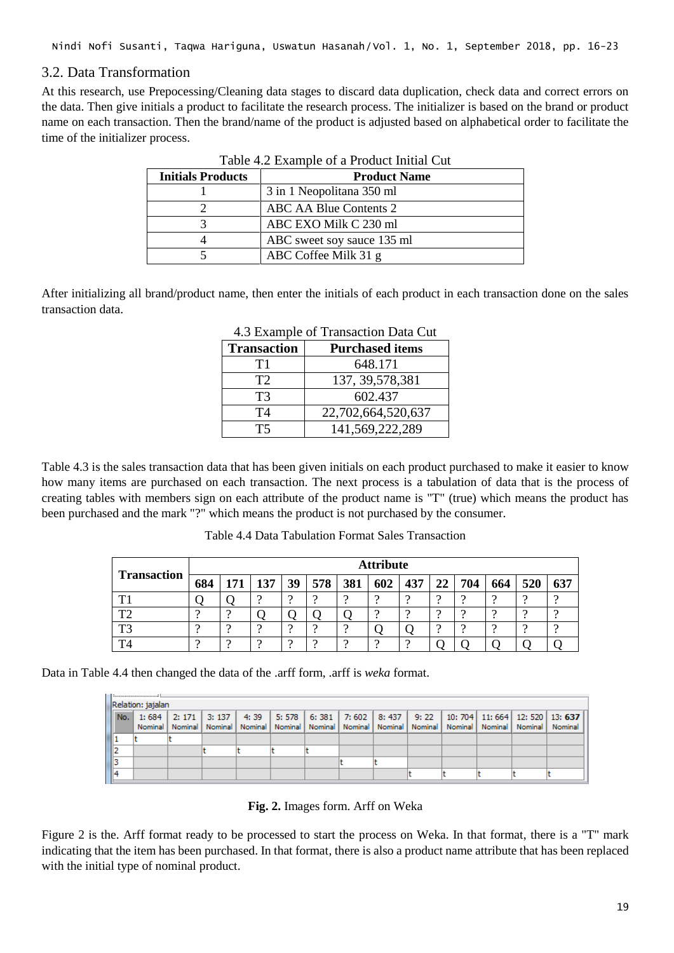# 3.2. Data Transformation

At this research, use Prepocessing/Cleaning data stages to discard data duplication, check data and correct errors on the data. Then give initials a product to facilitate the research process. The initializer is based on the brand or product name on each transaction. Then the brand/name of the product is adjusted based on alphabetical order to facilitate the time of the initializer process.

| <b>Initials Products</b> | <b>Product Name</b>        |
|--------------------------|----------------------------|
|                          | 3 in 1 Neopolitana 350 ml  |
|                          | ABC AA Blue Contents 2     |
|                          | ABC EXO Milk C 230 ml      |
|                          | ABC sweet soy sauce 135 ml |
|                          | ABC Coffee Milk 31 g       |

After initializing all brand/product name, then enter the initials of each product in each transaction done on the sales transaction data.

| <b>Transaction</b> | <b>Purchased items</b> |  |  |  |  |  |  |
|--------------------|------------------------|--|--|--|--|--|--|
| Τ1                 | 648.171                |  |  |  |  |  |  |
| T2                 | 137, 39, 578, 381      |  |  |  |  |  |  |
| T3                 | 602.437                |  |  |  |  |  |  |
| T4                 | 22,702,664,520,637     |  |  |  |  |  |  |
| T5                 | 141,569,222,289        |  |  |  |  |  |  |

4.3 Example of Transaction Data Cut

Table 4.3 is the sales transaction data that has been given initials on each product purchased to make it easier to know how many items are purchased on each transaction. The next process is a tabulation of data that is the process of creating tables with members sign on each attribute of the product name is "T" (true) which means the product has been purchased and the mark "?" which means the product is not purchased by the consumer.

Table 4.4 Data Tabulation Format Sales Transaction

|                    |     |     |     |    |          |          | <b>Attribute</b> |          |                 |     |     |     |     |
|--------------------|-----|-----|-----|----|----------|----------|------------------|----------|-----------------|-----|-----|-----|-----|
| <b>Transaction</b> | 684 | 171 | 137 | 39 | 578      | 381      | 602              | 437      | 22 <sup>1</sup> | 704 | 664 | 520 | 637 |
| T <sub>1</sub>     |     |     |     |    |          |          |                  |          |                 |     |     |     |     |
| $T^{\wedge}$       |     |     |     |    |          |          | $\Omega$         |          | $\Omega$        |     |     |     |     |
| T <sub>3</sub>     |     |     |     |    |          |          |                  |          | റ               |     |     |     |     |
| TΔ                 |     |     | റ   |    | $\Omega$ | $\Omega$ | $\Omega$         | $\Omega$ |                 |     |     |     |     |

Data in Table 4.4 then changed the data of the .arff form, .arff is *weka* format.

| Relation: jajalan |  |  |  |  |  |  |  |  |  |  |  |                                                                                                                            |
|-------------------|--|--|--|--|--|--|--|--|--|--|--|----------------------------------------------------------------------------------------------------------------------------|
|                   |  |  |  |  |  |  |  |  |  |  |  | No.    1:684    2:171    3:137    4:39    5:578    6:381    7:602    8:437    9:22    10:704    11:664    12:520    13:637 |
|                   |  |  |  |  |  |  |  |  |  |  |  | Nominal   Nominal   Nominal   Nominal   Nominal   Nominal   Nominal   Nominal   Nominal   Nominal   Nominal   Nominal      |
|                   |  |  |  |  |  |  |  |  |  |  |  |                                                                                                                            |
|                   |  |  |  |  |  |  |  |  |  |  |  |                                                                                                                            |
|                   |  |  |  |  |  |  |  |  |  |  |  |                                                                                                                            |
|                   |  |  |  |  |  |  |  |  |  |  |  |                                                                                                                            |

**Fig. 2.** Images form. Arff on Weka

Figure 2 is the. Arff format ready to be processed to start the process on Weka. In that format, there is a "T" mark indicating that the item has been purchased. In that format, there is also a product name attribute that has been replaced with the initial type of nominal product.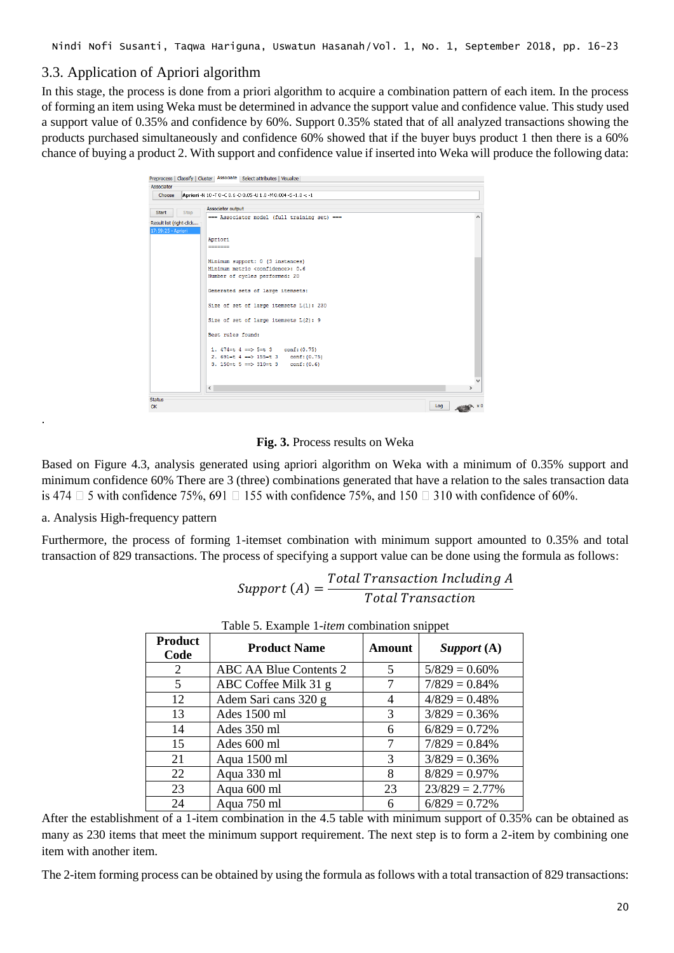# 3.3. Application of Apriori algorithm

In this stage, the process is done from a priori algorithm to acquire a combination pattern of each item. In the process of forming an item using Weka must be determined in advance the support value and confidence value. This study used a support value of 0.35% and confidence by 60%. Support 0.35% stated that of all analyzed transactions showing the products purchased simultaneously and confidence 60% showed that if the buyer buys product 1 then there is a 60% chance of buying a product 2. With support and confidence value if inserted into Weka will produce the following data:

|                          |      |    |                   | Preprocess   Classify   Cluster   Associate   Select attributes   Visualize |     |               |
|--------------------------|------|----|-------------------|-----------------------------------------------------------------------------|-----|---------------|
| Associator               |      |    |                   |                                                                             |     |               |
| Choose                   |      |    |                   | Apriori -N 10 -T 0 -C 0.6 -D 0.05 -U 1.0 -M 0.004 -S -1.0 -c -1             |     |               |
| Start                    | Stop |    | Associator output |                                                                             |     |               |
| Result list (right-click |      |    |                   | === Associator model (full training set) ===                                |     | $\wedge$      |
| 17:59:25 - Apriori       |      |    |                   |                                                                             |     |               |
|                          |      |    | Apriori           |                                                                             |     |               |
|                          |      |    | -------           |                                                                             |     |               |
|                          |      |    |                   | Minimum support: 0 (3 instances)                                            |     |               |
|                          |      |    |                   | Minimum metric <confidence>: 0.6</confidence>                               |     |               |
|                          |      |    |                   | Number of cycles performed: 20                                              |     |               |
|                          |      |    |                   | Generated sets of large itemsets:                                           |     |               |
|                          |      |    |                   | Size of set of large itemsets L(1): 230                                     |     |               |
|                          |      |    |                   | Size of set of large itemsets L(2): 9                                       |     |               |
|                          |      |    | Best rules found: |                                                                             |     |               |
|                          |      |    |                   | 1. $474=t$ $4 ==$ $5=t$ 3 conf: $(0.75)$                                    |     |               |
|                          |      |    |                   | 2. $691=t$ 4 = $>$ 155 = t 3 conf: (0.75)                                   |     |               |
|                          |      |    |                   | 3. 150=t 5 == > 310=t 3 conf: $(0.6)$                                       |     |               |
|                          |      |    |                   |                                                                             |     | $\checkmark$  |
|                          |      | k. |                   |                                                                             |     | $\rightarrow$ |
| <b>Status</b>            |      |    |                   |                                                                             |     |               |
| OK                       |      |    |                   |                                                                             | Log |               |

**Fig. 3.** Process results on Weka

Based on Figure 4.3, analysis generated using apriori algorithm on Weka with a minimum of 0.35% support and minimum confidence 60% There are 3 (three) combinations generated that have a relation to the sales transaction data is 474  $\Box$  5 with confidence 75%, 691  $\Box$  155 with confidence 75%, and 150  $\Box$  310 with confidence of 60%.

a. Analysis High-frequency pattern

.

Furthermore, the process of forming 1-itemset combination with minimum support amounted to 0.35% and total transaction of 829 transactions. The process of specifying a support value can be done using the formula as follows:

$$
Support (A) = \frac{Total Transaction Including A}{Total Transaction}
$$

| <b>Product</b><br>Code | <b>Product Name</b>    | Amount | Support $(A)$     |
|------------------------|------------------------|--------|-------------------|
| 2                      | ABC AA Blue Contents 2 | 5      | $5/829 = 0.60\%$  |
| 5                      | ABC Coffee Milk 31 g   |        | $7/829 = 0.84\%$  |
| 12                     | Adem Sari cans 320 g   | 4      | $4/829 = 0.48%$   |
| 13                     | Ades 1500 ml           | 3      | $3/829 = 0.36\%$  |
| 14                     | Ades 350 ml            | 6      | $6/829 = 0.72\%$  |
| 15                     | Ades 600 ml            | 7      | $7/829 = 0.84\%$  |
| 21                     | Aqua 1500 ml           | 3      | $3/829 = 0.36\%$  |
| 22                     | Aqua 330 ml            | 8      | $8/829 = 0.97\%$  |
| 23                     | Aqua 600 ml            | 23     | $23/829 = 2.77\%$ |
| 24                     | Aqua 750 ml            | 6      | $6/829 = 0.72%$   |

Table 5. Example 1-*item* combination snippet

After the establishment of a 1-item combination in the 4.5 table with minimum support of 0.35% can be obtained as many as 230 items that meet the minimum support requirement. The next step is to form a 2-item by combining one item with another item.

The 2-item forming process can be obtained by using the formula as follows with a total transaction of 829 transactions: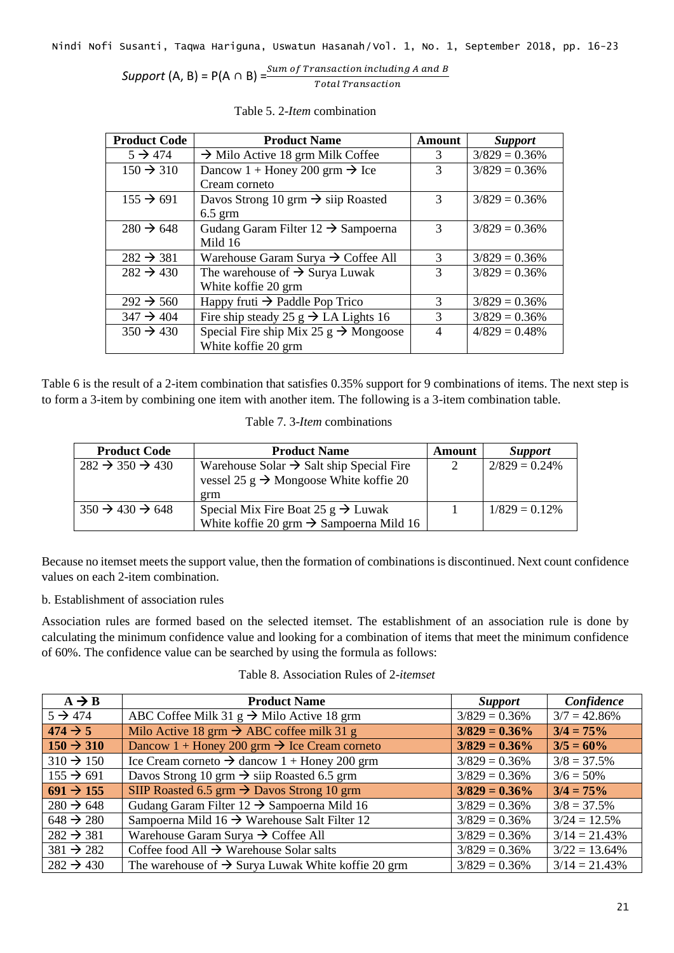| Support (A, B) = $P(A \cap B) = \frac{5i}{5}$ | Sum of Transaction including A and B |
|-----------------------------------------------|--------------------------------------|
|                                               | <b>Total Transaction</b>             |

| <b>Product Code</b>   | <b>Product Name</b>                               | Amount         | <b>Support</b>   |
|-----------------------|---------------------------------------------------|----------------|------------------|
| $5 \rightarrow 474$   | $\rightarrow$ Milo Active 18 grm Milk Coffee      | 3              | $3/829 = 0.36\%$ |
| $150 \rightarrow 310$ | Dancow 1 + Honey 200 grm $\rightarrow$ Ice        | 3              | $3/829 = 0.36\%$ |
|                       | Cream corneto                                     |                |                  |
| $155 \rightarrow 691$ | Davos Strong 10 grm $\rightarrow$ siip Roasted    | 3              | $3/829 = 0.36\%$ |
|                       | $6.5$ grm                                         |                |                  |
| $280 \rightarrow 648$ | Gudang Garam Filter $12 \rightarrow$ Sampoerna    | 3              | $3/829 = 0.36\%$ |
|                       | Mild 16                                           |                |                  |
| $282 \rightarrow 381$ | Warehouse Garam Surya $\rightarrow$ Coffee All    | 3              | $3/829 = 0.36\%$ |
| $282 \rightarrow 430$ | The warehouse of $\rightarrow$ Surya Luwak        | 3              | $3/829 = 0.36\%$ |
|                       | White koffie 20 grm                               |                |                  |
| $292 \div 560$        | Happy fruti $\rightarrow$ Paddle Pop Trico        | 3              | $3/829 = 0.36\%$ |
| $347 \rightarrow 404$ | Fire ship steady 25 g $\rightarrow$ LA Lights 16  | 3              | $3/829 = 0.36\%$ |
| $350 \rightarrow 430$ | Special Fire ship Mix 25 $g \rightarrow$ Mongoose | $\overline{4}$ | $4/829 = 0.48%$  |
|                       | White koffie 20 grm                               |                |                  |

Table 5. 2-*Item* combination

Table 6 is the result of a 2-item combination that satisfies 0.35% support for 9 combinations of items. The next step is to form a 3-item by combining one item with another item. The following is a 3-item combination table.

| <b>Product Code</b>                   | <b>Product Name</b>                                  | Amount        | <b>Support</b>   |
|---------------------------------------|------------------------------------------------------|---------------|------------------|
| $282 \rightarrow 350 \rightarrow 430$ | Warehouse Solar $\rightarrow$ Salt ship Special Fire | $\mathcal{D}$ | $2/829 = 0.24\%$ |
|                                       | vessel 25 g $\rightarrow$ Mongoose White koffie 20   |               |                  |
|                                       | grm                                                  |               |                  |
| $350 \rightarrow 430 \rightarrow 648$ | Special Mix Fire Boat 25 $g \rightarrow$ Luwak       |               | $1/829 = 0.12\%$ |
|                                       | White koffie 20 grm $\rightarrow$ Sampoerna Mild 16  |               |                  |

Because no itemset meets the support value, then the formation of combinations is discontinued. Next count confidence values on each 2-item combination.

b. Establishment of association rules

Association rules are formed based on the selected itemset. The establishment of an association rule is done by calculating the minimum confidence value and looking for a combination of items that meet the minimum confidence of 60%. The confidence value can be searched by using the formula as follows:

| Table 8. Association Rules of 2- <i>itemset</i> |  |
|-------------------------------------------------|--|
|-------------------------------------------------|--|

| $A \rightarrow B$     | <b>Product Name</b>                                            | <i>Support</i>   | Confidence       |
|-----------------------|----------------------------------------------------------------|------------------|------------------|
| $5 \rightarrow 474$   | ABC Coffee Milk 31 $g \rightarrow$ Milo Active 18 grm          | $3/829 = 0.36\%$ | $3/7 = 42.86\%$  |
| $474 \rightarrow 5$   | Milo Active 18 grm $\rightarrow$ ABC coffee milk 31 g          | $3/829 = 0.36\%$ | $3/4 = 75\%$     |
| $150 \div 310$        | Dancow 1 + Honey 200 grm $\rightarrow$ Ice Cream corneto       | $3/829 = 0.36\%$ | $3/5 = 60\%$     |
| $310 \div 150$        | Ice Cream corneto $\rightarrow$ dancow 1 + Honey 200 grm       | $3/829 = 0.36\%$ | $3/8 = 37.5\%$   |
| $155 \rightarrow 691$ | Davos Strong 10 grm $\rightarrow$ siip Roasted 6.5 grm         | $3/829 = 0.36\%$ | $3/6 = 50\%$     |
| $691 \div 155$        | SIIP Roasted 6.5 grm $\rightarrow$ Davos Strong 10 grm         | $3/829 = 0.36\%$ | $3/4 = 75%$      |
| $280 \rightarrow 648$ | Gudang Garam Filter $12 \rightarrow$ Sampoerna Mild 16         | $3/829 = 0.36\%$ | $3/8 = 37.5\%$   |
| $648 \rightarrow 280$ | Sampoerna Mild 16 $\rightarrow$ Warehouse Salt Filter 12       | $3/829 = 0.36\%$ | $3/24 = 12.5%$   |
| $282 \rightarrow 381$ | Warehouse Garam Surya $\rightarrow$ Coffee All                 | $3/829 = 0.36\%$ | $3/14 = 21.43\%$ |
| $381 \rightarrow 282$ | Coffee food All $\rightarrow$ Warehouse Solar salts            | $3/829 = 0.36\%$ | $3/22 = 13.64\%$ |
| $282 \rightarrow 430$ | The warehouse of $\rightarrow$ Surya Luwak White koffie 20 grm | $3/829 = 0.36\%$ | $3/14 = 21.43\%$ |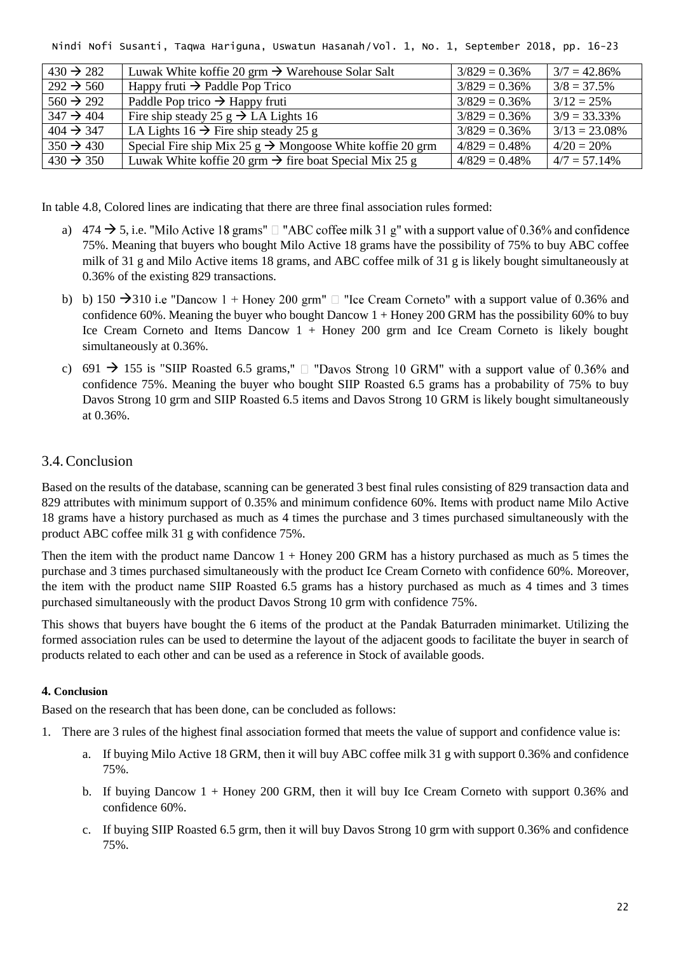| $430 \rightarrow 282$ | Luwak White koffie 20 grm $\rightarrow$ Warehouse Solar Salt          | $3/829 = 0.36\%$ | $3/7 = 42.86\%$  |
|-----------------------|-----------------------------------------------------------------------|------------------|------------------|
| $292 \div 560$        | Happy fruti $\rightarrow$ Paddle Pop Trico                            | $3/829 = 0.36\%$ | $3/8 = 37.5\%$   |
| $560 \rightarrow 292$ | Paddle Pop trico $\rightarrow$ Happy fruti                            | $3/829 = 0.36\%$ | $3/12 = 25\%$    |
| $347 \rightarrow 404$ | Fire ship steady 25 g $\rightarrow$ LA Lights 16                      | $3/829 = 0.36\%$ | $3/9 = 33.33\%$  |
| $404 \rightarrow 347$ | LA Lights 16 $\rightarrow$ Fire ship steady 25 g                      | $3/829 = 0.36\%$ | $3/13 = 23.08\%$ |
| $350 \rightarrow 430$ | Special Fire ship Mix 25 $g \rightarrow$ Mongoose White koffie 20 grm | $4/829 = 0.48\%$ | $4/20 = 20%$     |
| $430 \rightarrow 350$ | Luwak White koffie 20 grm $\rightarrow$ fire boat Special Mix 25 g    | $4/829 = 0.48\%$ | $4/7 = 57.14\%$  |

In table 4.8, Colored lines are indicating that there are three final association rules formed:

- a) 474  $\rightarrow$  5, i.e. "Milo Active 18 grams"  $\Box$  "ABC coffee milk 31 g" with a support value of 0.36% and confidence 75%. Meaning that buyers who bought Milo Active 18 grams have the possibility of 75% to buy ABC coffee milk of 31 g and Milo Active items 18 grams, and ABC coffee milk of 31 g is likely bought simultaneously at 0.36% of the existing 829 transactions.
- b) b) 150  $\rightarrow$  310 i.e "Dancow 1 + Honey 200 grm"  $\Box$  "Ice Cream Corneto" with a support value of 0.36% and confidence 60%. Meaning the buyer who bought Dancow 1 + Honey 200 GRM has the possibility 60% to buy Ice Cream Corneto and Items Dancow 1 + Honey 200 grm and Ice Cream Corneto is likely bought simultaneously at 0.36%.
- c) 691  $\rightarrow$  155 is "SIIP Roasted 6.5 grams,"  $\Box$  "Davos Strong 10 GRM" with a support value of 0.36% and confidence 75%. Meaning the buyer who bought SIIP Roasted 6.5 grams has a probability of 75% to buy Davos Strong 10 grm and SIIP Roasted 6.5 items and Davos Strong 10 GRM is likely bought simultaneously at 0.36%.

# 3.4.Conclusion

Based on the results of the database, scanning can be generated 3 best final rules consisting of 829 transaction data and 829 attributes with minimum support of 0.35% and minimum confidence 60%. Items with product name Milo Active 18 grams have a history purchased as much as 4 times the purchase and 3 times purchased simultaneously with the product ABC coffee milk 31 g with confidence 75%.

Then the item with the product name Dancow 1 + Honey 200 GRM has a history purchased as much as 5 times the purchase and 3 times purchased simultaneously with the product Ice Cream Corneto with confidence 60%. Moreover, the item with the product name SIIP Roasted 6.5 grams has a history purchased as much as 4 times and 3 times purchased simultaneously with the product Davos Strong 10 grm with confidence 75%.

This shows that buyers have bought the 6 items of the product at the Pandak Baturraden minimarket. Utilizing the formed association rules can be used to determine the layout of the adjacent goods to facilitate the buyer in search of products related to each other and can be used as a reference in Stock of available goods.

#### **4. Conclusion**

Based on the research that has been done, can be concluded as follows:

- 1. There are 3 rules of the highest final association formed that meets the value of support and confidence value is:
	- a. If buying Milo Active 18 GRM, then it will buy ABC coffee milk 31 g with support 0.36% and confidence 75%.
	- b. If buying Dancow 1 + Honey 200 GRM, then it will buy Ice Cream Corneto with support 0.36% and confidence 60%.
	- c. If buying SIIP Roasted 6.5 grm, then it will buy Davos Strong 10 grm with support 0.36% and confidence 75%.